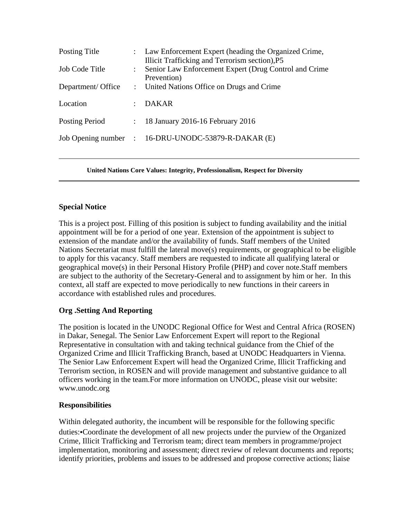| Posting Title      | : Law Enforcement Expert (heading the Organized Crime,<br>Illicit Trafficking and Terrorism section), P5 |
|--------------------|----------------------------------------------------------------------------------------------------------|
| Job Code Title     | : Senior Law Enforcement Expert (Drug Control and Crime<br>Prevention)                                   |
| Department/ Office | : United Nations Office on Drugs and Crime                                                               |
| Location           | <b>DAKAR</b>                                                                                             |
| Posting Period     | 18 January 2016-16 February 2016                                                                         |
|                    | Job Opening number : 16-DRU-UNODC-53879-R-DAKAR (E)                                                      |
|                    |                                                                                                          |

 **United Nations Core Values: Integrity, Professionalism, Respect for Diversity**

## **Special Notice**

This is a project post. Filling of this position is subject to funding availability and the initial appointment will be for a period of one year. Extension of the appointment is subject to extension of the mandate and/or the availability of funds. Staff members of the United Nations Secretariat must fulfill the lateral move(s) requirements, or geographical to be eligible to apply for this vacancy. Staff members are requested to indicate all qualifying lateral or geographical move(s) in their Personal History Profile (PHP) and cover note.Staff members are subject to the authority of the Secretary-General and to assignment by him or her. In this context, all staff are expected to move periodically to new functions in their careers in accordance with established rules and procedures.

# **Org .Setting And Reporting**

The position is located in the UNODC Regional Office for West and Central Africa (ROSEN) in Dakar, Senegal. The Senior Law Enforcement Expert will report to the Regional Representative in consultation with and taking technical guidance from the Chief of the Organized Crime and Illicit Trafficking Branch, based at UNODC Headquarters in Vienna. The Senior Law Enforcement Expert will head the Organized Crime, Illicit Trafficking and Terrorism section, in ROSEN and will provide management and substantive guidance to all officers working in the team.For more information on UNODC, please visit our website: www.unodc.org

### **Responsibilities**

Within delegated authority, the incumbent will be responsible for the following specific duties:•Coordinate the development of all new projects under the purview of the Organized Crime, Illicit Trafficking and Terrorism team; direct team members in programme/project implementation, monitoring and assessment; direct review of relevant documents and reports; identify priorities, problems and issues to be addressed and propose corrective actions; liaise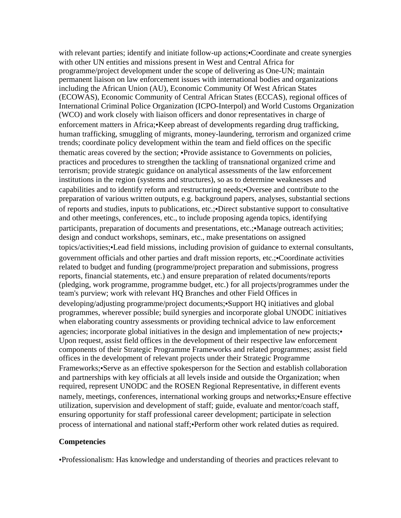with relevant parties; identify and initiate follow-up actions; • Coordinate and create synergies with other UN entities and missions present in West and Central Africa for programme/project development under the scope of delivering as One-UN; maintain permanent liaison on law enforcement issues with international bodies and organizations including the African Union (AU), Economic Community Of West African States (ECOWAS), Economic Community of Central African States (ECCAS), regional offices of International Criminal Police Organization (ICPO-Interpol) and World Customs Organization (WCO) and work closely with liaison officers and donor representatives in charge of enforcement matters in Africa;•Keep abreast of developments regarding drug trafficking, human trafficking, smuggling of migrants, money-laundering, terrorism and organized crime trends; coordinate policy development within the team and field offices on the specific thematic areas covered by the section; •Provide assistance to Governments on policies, practices and procedures to strengthen the tackling of transnational organized crime and terrorism; provide strategic guidance on analytical assessments of the law enforcement institutions in the region (systems and structures), so as to determine weaknesses and capabilities and to identify reform and restructuring needs;•Oversee and contribute to the preparation of various written outputs, e.g. background papers, analyses, substantial sections of reports and studies, inputs to publications, etc.;•Direct substantive support to consultative and other meetings, conferences, etc., to include proposing agenda topics, identifying participants, preparation of documents and presentations, etc.;•Manage outreach activities; design and conduct workshops, seminars, etc., make presentations on assigned topics/activities;•Lead field missions, including provision of guidance to external consultants, government officials and other parties and draft mission reports, etc.;•Coordinate activities related to budget and funding (programme/project preparation and submissions, progress reports, financial statements, etc.) and ensure preparation of related documents/reports (pledging, work programme, programme budget, etc.) for all projects/programmes under the team's purview; work with relevant HQ Branches and other Field Offices in developing/adjusting programme/project documents;•Support HQ initiatives and global programmes, wherever possible; build synergies and incorporate global UNODC initiatives when elaborating country assessments or providing technical advice to law enforcement agencies; incorporate global initiatives in the design and implementation of new projects;• Upon request, assist field offices in the development of their respective law enforcement components of their Strategic Programme Frameworks and related programmes; assist field offices in the development of relevant projects under their Strategic Programme Frameworks;•Serve as an effective spokesperson for the Section and establish collaboration and partnerships with key officials at all levels inside and outside the Organization; when required, represent UNODC and the ROSEN Regional Representative, in different events namely, meetings, conferences, international working groups and networks;•Ensure effective utilization, supervision and development of staff; guide, evaluate and mentor/coach staff, ensuring opportunity for staff professional career development; participate in selection process of international and national staff;•Perform other work related duties as required.

### **Competencies**

•Professionalism: Has knowledge and understanding of theories and practices relevant to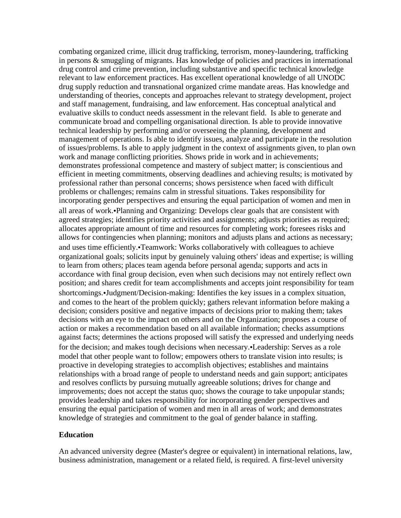combating organized crime, illicit drug trafficking, terrorism, money-laundering, trafficking in persons & smuggling of migrants. Has knowledge of policies and practices in international drug control and crime prevention, including substantive and specific technical knowledge relevant to law enforcement practices. Has excellent operational knowledge of all UNODC drug supply reduction and transnational organized crime mandate areas. Has knowledge and understanding of theories, concepts and approaches relevant to strategy development, project and staff management, fundraising, and law enforcement. Has conceptual analytical and evaluative skills to conduct needs assessment in the relevant field. Is able to generate and communicate broad and compelling organisational direction. Is able to provide innovative technical leadership by performing and/or overseeing the planning, development and management of operations. Is able to identify issues, analyze and participate in the resolution of issues/problems. Is able to apply judgment in the context of assignments given, to plan own work and manage conflicting priorities. Shows pride in work and in achievements; demonstrates professional competence and mastery of subject matter; is conscientious and efficient in meeting commitments, observing deadlines and achieving results; is motivated by professional rather than personal concerns; shows persistence when faced with difficult problems or challenges; remains calm in stressful situations. Takes responsibility for incorporating gender perspectives and ensuring the equal participation of women and men in all areas of work.•Planning and Organizing: Develops clear goals that are consistent with agreed strategies; identifies priority activities and assignments; adjusts priorities as required; allocates appropriate amount of time and resources for completing work; foresees risks and allows for contingencies when planning; monitors and adjusts plans and actions as necessary; and uses time efficiently.•Teamwork: Works collaboratively with colleagues to achieve organizational goals; solicits input by genuinely valuing others' ideas and expertise; is willing to learn from others; places team agenda before personal agenda; supports and acts in accordance with final group decision, even when such decisions may not entirely reflect own position; and shares credit for team accomplishments and accepts joint responsibility for team shortcomings.•Judgment/Decision-making: Identifies the key issues in a complex situation, and comes to the heart of the problem quickly; gathers relevant information before making a decision; considers positive and negative impacts of decisions prior to making them; takes decisions with an eye to the impact on others and on the Organization; proposes a course of action or makes a recommendation based on all available information; checks assumptions against facts; determines the actions proposed will satisfy the expressed and underlying needs for the decision; and makes tough decisions when necessary.•Leadership: Serves as a role model that other people want to follow; empowers others to translate vision into results; is proactive in developing strategies to accomplish objectives; establishes and maintains relationships with a broad range of people to understand needs and gain support; anticipates and resolves conflicts by pursuing mutually agreeable solutions; drives for change and improvements; does not accept the status quo; shows the courage to take unpopular stands; provides leadership and takes responsibility for incorporating gender perspectives and ensuring the equal participation of women and men in all areas of work; and demonstrates knowledge of strategies and commitment to the goal of gender balance in staffing.

#### **Education**

An advanced university degree (Master's degree or equivalent) in international relations, law, business administration, management or a related field, is required. A first-level university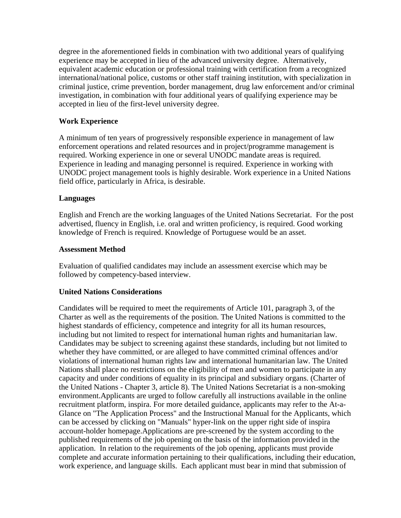degree in the aforementioned fields in combination with two additional years of qualifying experience may be accepted in lieu of the advanced university degree. Alternatively, equivalent academic education or professional training with certification from a recognized international/national police, customs or other staff training institution, with specialization in criminal justice, crime prevention, border management, drug law enforcement and/or criminal investigation, in combination with four additional years of qualifying experience may be accepted in lieu of the first-level university degree.

# **Work Experience**

A minimum of ten years of progressively responsible experience in management of law enforcement operations and related resources and in project/programme management is required. Working experience in one or several UNODC mandate areas is required. Experience in leading and managing personnel is required. Experience in working with UNODC project management tools is highly desirable. Work experience in a United Nations field office, particularly in Africa, is desirable.

## **Languages**

English and French are the working languages of the United Nations Secretariat. For the post advertised, fluency in English, i.e. oral and written proficiency, is required. Good working knowledge of French is required. Knowledge of Portuguese would be an asset.

### **Assessment Method**

Evaluation of qualified candidates may include an assessment exercise which may be followed by competency-based interview.

### **United Nations Considerations**

Candidates will be required to meet the requirements of Article 101, paragraph 3, of the Charter as well as the requirements of the position. The United Nations is committed to the highest standards of efficiency, competence and integrity for all its human resources, including but not limited to respect for international human rights and humanitarian law. Candidates may be subject to screening against these standards, including but not limited to whether they have committed, or are alleged to have committed criminal offences and/or violations of international human rights law and international humanitarian law. The United Nations shall place no restrictions on the eligibility of men and women to participate in any capacity and under conditions of equality in its principal and subsidiary organs. (Charter of the United Nations - Chapter 3, article 8). The United Nations Secretariat is a non-smoking environment.Applicants are urged to follow carefully all instructions available in the online recruitment platform, inspira. For more detailed guidance, applicants may refer to the At-a-Glance on "The Application Process" and the Instructional Manual for the Applicants, which can be accessed by clicking on "Manuals" hyper-link on the upper right side of inspira account-holder homepage.Applications are pre-screened by the system according to the published requirements of the job opening on the basis of the information provided in the application. In relation to the requirements of the job opening, applicants must provide complete and accurate information pertaining to their qualifications, including their education, work experience, and language skills. Each applicant must bear in mind that submission of